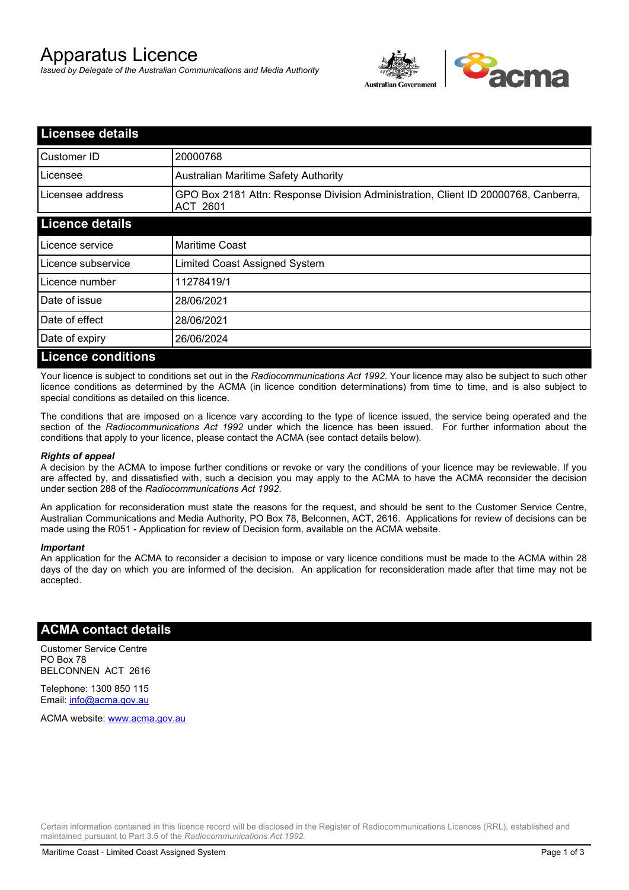# Apparatus Licence

*Issued by Delegate of the Australian Communications and Media Authority*



| <b>Licensee details</b>   |                                                                                                       |  |  |
|---------------------------|-------------------------------------------------------------------------------------------------------|--|--|
| Customer ID               | 20000768                                                                                              |  |  |
| Licensee                  | <b>Australian Maritime Safety Authority</b>                                                           |  |  |
| Licensee address          | GPO Box 2181 Attn: Response Division Administration, Client ID 20000768, Canberra,<br><b>ACT 2601</b> |  |  |
| <b>Licence details</b>    |                                                                                                       |  |  |
| Licence service           | <b>Maritime Coast</b>                                                                                 |  |  |
| Licence subservice        | Limited Coast Assigned System                                                                         |  |  |
| Licence number            | 11278419/1                                                                                            |  |  |
| Date of issue             | 28/06/2021                                                                                            |  |  |
| Date of effect            | 28/06/2021                                                                                            |  |  |
| Date of expiry            | 26/06/2024                                                                                            |  |  |
| <b>Licence conditions</b> |                                                                                                       |  |  |

Your licence is subject to conditions set out in the *Radiocommunications Act 1992*. Your licence may also be subject to such other licence conditions as determined by the ACMA (in licence condition determinations) from time to time, and is also subject to special conditions as detailed on this licence.

The conditions that are imposed on a licence vary according to the type of licence issued, the service being operated and the section of the *Radiocommunications Act 1992* under which the licence has been issued. For further information about the conditions that apply to your licence, please contact the ACMA (see contact details below).

#### *Rights of appeal*

A decision by the ACMA to impose further conditions or revoke or vary the conditions of your licence may be reviewable. If you are affected by, and dissatisfied with, such a decision you may apply to the ACMA to have the ACMA reconsider the decision under section 288 of the *Radiocommunications Act 1992*.

An application for reconsideration must state the reasons for the request, and should be sent to the Customer Service Centre, Australian Communications and Media Authority, PO Box 78, Belconnen, ACT, 2616. Applications for review of decisions can be made using the R051 - Application for review of Decision form, available on the ACMA website.

#### *Important*

An application for the ACMA to reconsider a decision to impose or vary licence conditions must be made to the ACMA within 28 days of the day on which you are informed of the decision. An application for reconsideration made after that time may not be accepted.

### **ACMA contact details**

Customer Service Centre PO Box 78 BELCONNEN ACT 2616

Telephone: 1300 850 115 Email: info@acma.gov.au

ACMA website: www.acma.gov.au

Certain information contained in this licence record will be disclosed in the Register of Radiocommunications Licences (RRL), established and maintained pursuant to Part 3.5 of the *Radiocommunications Act 1992.*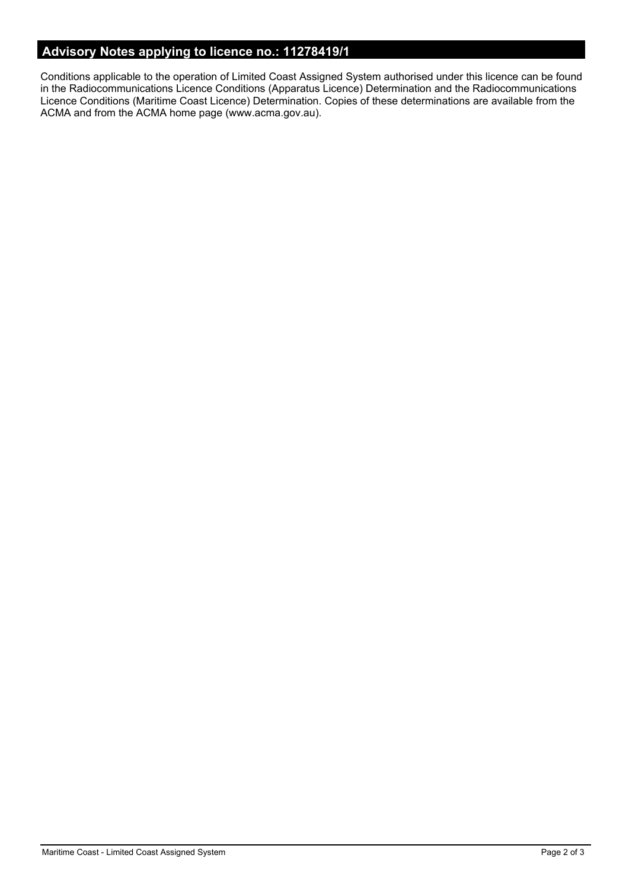## **Advisory Notes applying to licence no.: 11278419/1**

Conditions applicable to the operation of Limited Coast Assigned System authorised under this licence can be found in the Radiocommunications Licence Conditions (Apparatus Licence) Determination and the Radiocommunications Licence Conditions (Maritime Coast Licence) Determination. Copies of these determinations are available from the ACMA and from the ACMA home page (www.acma.gov.au).